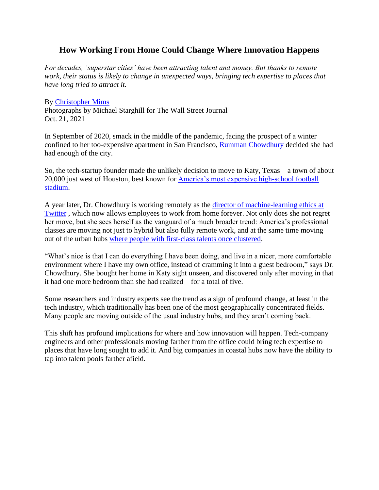# **How Working From Home Could Change Where Innovation Happens**

*For decades, 'superstar cities' have been attracting talent and money. But thanks to remote work, their status is likely to change in unexpected ways, bringing tech expertise to places that have long tried to attract it.*

#### By [Christopher Mims](https://www.wsj.com/news/author/christopher-mims)

Photographs by Michael Starghill for The Wall Street Journal Oct. 21, 2021

In September of 2020, smack in the middle of the pandemic, facing the prospect of a winter confined to her too-expensive apartment in San Francisco, [Rumman Chowdhury d](https://www.getparity.ai/about)ecided she had had enough of the city.

So, the tech-startup founder made the unlikely decision to move to Katy, Texas—a town of about 20,000 just west of Houston, best known for [America's most expensive high-school football](https://www.youtube.com/watch?v=OLxV8aHRZAQ)  [stadium.](https://www.youtube.com/watch?v=OLxV8aHRZAQ)

A year later, Dr. Chowdhury is working remotely as the [director of machine-learning ethics at](https://twitter.com/ruchowdh/status/1363902139630813185?lang=en)  [Twitter](https://www.wsj.com/market-data/quotes/TWTR) , which now allows employees to work from home forever. Not only does she not regret her move, but she sees herself as the vanguard of a much broader trend: America's professional classes are moving not just to hybrid but also fully remote work, and at the same time moving out of the urban hubs [where people with first-class talents once clustered.](https://www.wsj.com/articles/work-from-anywhere-perks-give-silicon-valley-a-new-edge-in-talent-war-11627387270?mod=article_inline)

"What's nice is that I can do everything I have been doing, and live in a nicer, more comfortable environment where I have my own office, instead of cramming it into a guest bedroom," says Dr. Chowdhury. She bought her home in Katy sight unseen, and discovered only after moving in that it had one more bedroom than she had realized—for a total of five.

Some researchers and industry experts see the trend as a sign of profound change, at least in the tech industry, which traditionally has been one of the most geographically concentrated fields. Many people are moving outside of the usual industry hubs, and they aren't coming back.

This shift has profound implications for where and how innovation will happen. Tech-company engineers and other professionals moving farther from the office could bring tech expertise to places that have long sought to add it. And big companies in coastal hubs now have the ability to tap into talent pools farther afield.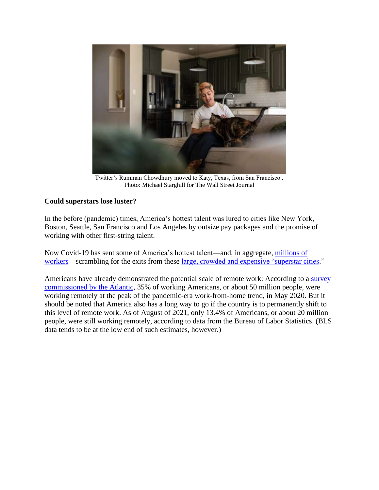

Twitter's Rumman Chowdhury moved to Katy, Texas, from San Francisco.. Photo: Michael Starghill for The Wall Street Journal

## **Could superstars lose luster?**

In the before (pandemic) times, America's hottest talent was lured to cities like New York, Boston, Seattle, San Francisco and Los Angeles by outsize pay packages and the promise of working with other first-string talent.

Now Covid-19 has sent some of America's hottest talent—and, in aggregate, [millions of](https://www.wsj.com/articles/americans-up-and-moved-during-the-pandemic-heres-where-they-went-11620734566?mod=article_inline)  [workers—](https://www.wsj.com/articles/americans-up-and-moved-during-the-pandemic-heres-where-they-went-11620734566?mod=article_inline)scrambling for the exits from these [large, crowded and expensive "superstar cities.](https://www.wsj.com/articles/where-you-should-move-to-make-the-most-money-americas-superstar-cities-11544850010?mod=article_inline)"

Americans have already demonstrated the potential scale of remote work: According to a [survey](https://www.theatlantic.com/politics/archive/2021/09/work-from-home-numbers/620107/)  [commissioned by the Atlantic,](https://www.theatlantic.com/politics/archive/2021/09/work-from-home-numbers/620107/) 35% of working Americans, or about 50 million people, were working remotely at the peak of the pandemic-era work-from-home trend, in May 2020. But it should be noted that America also has a long way to go if the country is to permanently shift to this level of remote work. As of August of 2021, only 13.4% of Americans, or about 20 million people, were still working remotely, according to data from the Bureau of Labor Statistics. (BLS data tends to be at the low end of such estimates, however.)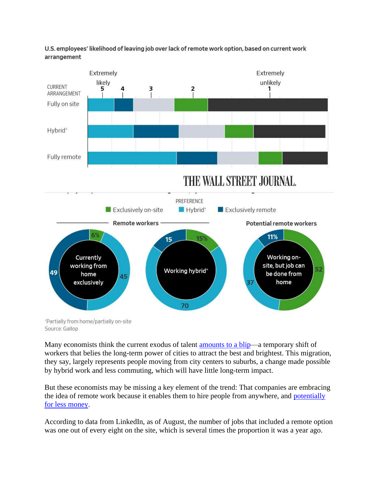



Source: Gallop

Many economists think the current exodus of talent [amounts to a blip—](https://www.washingtonpost.com/business/superstar-cities-are-probably-immune-from-wfh/2021/09/20/ec82aadc-1a06-11ec-bea8-308ea134594f_story.html)a temporary shift of workers that belies the long-term power of cities to attract the best and brightest. This migration, they say, largely represents people moving from city centers to suburbs, a change made possible by hybrid work and less commuting, which will have little long-term impact.

But these economists may be missing a key element of the trend: That companies are embracing the idea of remote work because it enables them to hire people from anywhere, and [potentially](https://www.wsj.com/articles/workers-want-to-do-their-jobs-from-anywhere-and-keep-their-big-city-salaries-11631282375?mod=article_inline)  [for less money.](https://www.wsj.com/articles/workers-want-to-do-their-jobs-from-anywhere-and-keep-their-big-city-salaries-11631282375?mod=article_inline)

According to data from LinkedIn, as of August, the number of jobs that included a remote option was one out of every eight on the site, which is several times the proportion it was a year ago.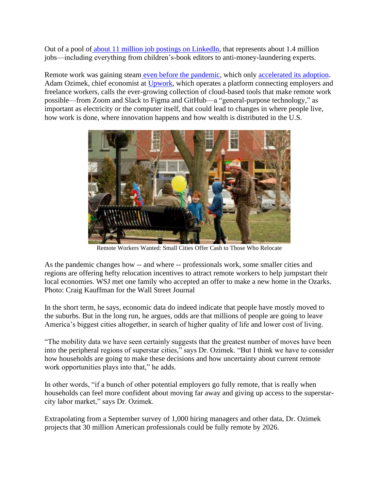Out of a pool of [about 11 million job postings on LinkedIn,](https://blog.linkedin.com/2020/september/30/helping-10-million-learners-and-counting) that represents about 1.4 million jobs—including everything from children's-book editors to anti-money-laundering experts.

Remote work was gaining steam [even before the pandemic,](https://www.wsj.com/articles/why-remote-work-cant-be-stopped-1496577602?mod=article_inline) which only [accelerated its adoption.](https://www.wsj.com/articles/remote-work-is-the-new-signing-bonus-11624680029?mod=article_inline) Adam Ozimek, chief economist at [Upwork,](https://www.wsj.com/market-data/quotes/UPWK) which operates a platform connecting employers and freelance workers, calls the ever-growing collection of cloud-based tools that make remote work possible—from Zoom and Slack to Figma and GitHub—a "general-purpose technology," as important as electricity or the computer itself, that could lead to changes in where people live, how work is done, where innovation happens and how wealth is distributed in the U.S.



Remote Workers Wanted: Small Cities Offer Cash to Those Who Relocate

As the pandemic changes how -- and where -- professionals work, some smaller cities and regions are offering hefty relocation incentives to attract remote workers to help jumpstart their local economies. WSJ met one family who accepted an offer to make a new home in the Ozarks. Photo: Craig Kauffman for the Wall Street Journal

In the short term, he says, economic data do indeed indicate that people have mostly moved to the suburbs. But in the long run, he argues, odds are that millions of people are going to leave America's biggest cities altogether, in search of higher quality of life and lower cost of living.

"The mobility data we have seen certainly suggests that the greatest number of moves have been into the peripheral regions of superstar cities," says Dr. Ozimek. "But I think we have to consider how households are going to make these decisions and how uncertainty about current remote work opportunities plays into that," he adds.

In other words, "if a bunch of other potential employers go fully remote, that is really when households can feel more confident about moving far away and giving up access to the superstarcity labor market," says Dr. Ozimek.

Extrapolating from a September survey of 1,000 hiring managers and other data, Dr. Ozimek projects that 30 million American professionals could be fully remote by 2026.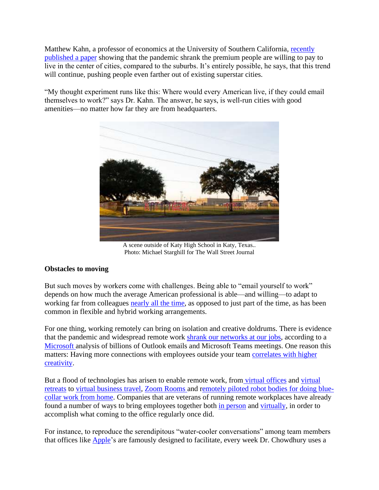Matthew Kahn, a professor of economics at the University of Southern California, [recently](https://ideas.repec.org/p/nbr/nberwo/28526.html)  [published a paper](https://ideas.repec.org/p/nbr/nberwo/28526.html) showing that the pandemic shrank the premium people are willing to pay to live in the center of cities, compared to the suburbs. It's entirely possible, he says, that this trend will continue, pushing people even farther out of existing superstar cities.

"My thought experiment runs like this: Where would every American live, if they could email themselves to work?" says Dr. Kahn. The answer, he says, is well-run cities with good amenities—no matter how far they are from headquarters.



A scene outside of Katy High School in Katy, Texas.. Photo: Michael Starghill for The Wall Street Journal

### **Obstacles to moving**

But such moves by workers come with challenges. Being able to "email yourself to work" depends on how much the average American professional is able—and willing—to adapt to working far from colleagues [nearly all the time,](https://www.wsj.com/articles/tech-that-will-change-your-life-in-2021-11609519215?mod=article_inline) as opposed to just part of the time, as has been common in flexible and hybrid working arrangements.

For one thing, working remotely can bring on isolation and creative doldrums. There is evidence that the pandemic and widespread remote work [shrank our networks at our jobs,](https://www.microsoft.com/en-us/worklab/work-trend-index/hybrid-work) according to a [Microsoft a](https://www.wsj.com/market-data/quotes/MSFT)nalysis of billions of Outlook emails and Microsoft Teams meetings. One reason this matters: Having more connections with employees outside your team [correlates with higher](https://journals.sagepub.com/doi/10.1177/0149206320914694)  [creativity.](https://journals.sagepub.com/doi/10.1177/0149206320914694)

But a flood of technologies has arisen to enable remote work, from [virtual offices](https://www.wsj.com/articles/are-videogames-the-future-of-remote-work-11610773203?mod=article_inline) and [virtual](https://www.wsj.com/articles/your-corporate-retreat-is-onbut-its-going-to-be-weirder-11615753659?mod=article_inline)  [retreats](https://www.wsj.com/articles/your-corporate-retreat-is-onbut-its-going-to-be-weirder-11615753659?mod=article_inline) to [virtual business travel,](https://www.wsj.com/articles/these-technologies-could-hold-back-business-travel-indefinitely-11618632059?mod=article_inline) [Zoom Rooms a](https://www.wsj.com/articles/zoom-follows-workers-back-to-the-office-with-a-video-booth-11631720263?mod=article_inline)nd [remotely piloted robot bodies for doing blue](https://www.wsj.com/articles/remote-work-isnt-just-for-white-collar-jobs-anymore-11603371826?mod=article_inline)[collar work from home.](https://www.wsj.com/articles/remote-work-isnt-just-for-white-collar-jobs-anymore-11603371826?mod=article_inline) Companies that are veterans of running remote workplaces have already found a number of ways to bring employees together both [in person](https://www.wsj.com/articles/marc-benioff-says-a-ranch-may-be-what-salesforces-work-culture-needs-11620758858?mod=article_inline) and [virtually,](https://www.wsj.com/articles/are-videogames-the-future-of-remote-work-11610773203?mod=article_inline) in order to accomplish what coming to the office regularly once did.

For instance, to reproduce the serendipitous "water-cooler conversations" among team members that offices like [Apple'](https://www.wsj.com/market-data/quotes/AAPL)s are famously designed to facilitate, every week Dr. Chowdhury uses a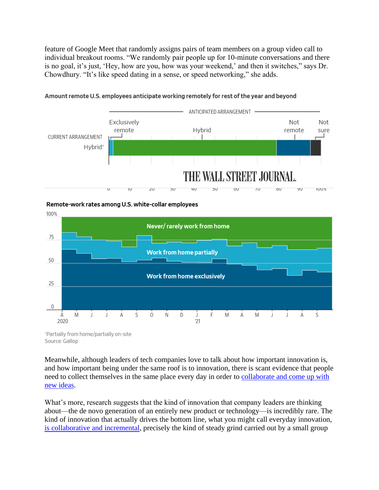feature of Google Meet that randomly assigns pairs of team members on a group video call to individual breakout rooms. "We randomly pair people up for 10-minute conversations and there is no goal, it's just, 'Hey, how are you, how was your weekend,' and then it switches," says Dr. Chowdhury. "It's like speed dating in a sense, or speed networking," she adds.



#### Amount remote U.S. employees anticipate working remotely for rest of the year and beyond

Remote-work rates among U.S. white-collar employees



"Partially from home/partially on-site Source: Gallop

Meanwhile, although leaders of tech companies love to talk about how important innovation is, and how important being under the same roof is to innovation, there is scant evidence that people need to collect themselves in the same place every day in order to [collaborate and come up with](https://www.theatlantic.com/ideas/archive/2021/09/offices-microsoft-study-out-group-connections/620137/)  [new ideas.](https://www.theatlantic.com/ideas/archive/2021/09/offices-microsoft-study-out-group-connections/620137/)

What's more, research suggests that the kind of innovation that company leaders are thinking about—the de novo generation of an entirely new product or technology—is incredibly rare. The kind of innovation that actually drives the bottom line, what you might call everyday innovation, [is collaborative and incremental,](https://www.wsj.com/articles/new-research-busts-popular-myths-about-innovation-11631937693?mod=article_inline) precisely the kind of steady grind carried out by a small group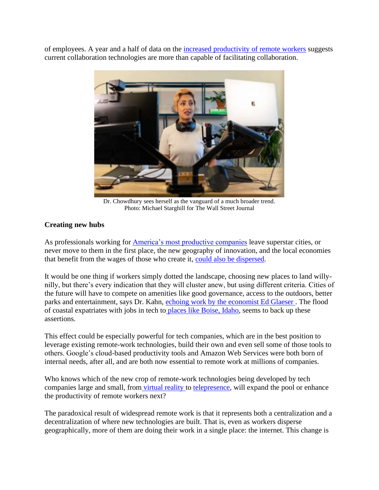of employees. A year and a half of data on the [increased productivity of remote workers](https://www.wsj.com/articles/why-the-productivity-boom-isnt-over-11628615911?mod=article_inline) suggests current collaboration technologies are more than capable of facilitating collaboration.



Dr. Chowdhury sees herself as the vanguard of a much broader trend. Photo: Michael Starghill for The Wall Street Journal

### **Creating new hubs**

As professionals working for [America's most productive companies](https://www.wsj.com/articles/not-even-a-pandemic-can-slow-down-the-biggest-tech-giants-11590206412?mod=article_inline) leave superstar cities, or never move to them in the first place, the new geography of innovation, and the local economies that benefit from the wages of those who create it, [could also be dispersed.](https://www.brookings.edu/blog/the-avenue/2021/09/29/beyond-vc-financing-technology-entrepreneurship-in-the-rest-of-america/)

It would be one thing if workers simply dotted the landscape, choosing new places to land willynilly, but there's every indication that they will cluster anew, but using different criteria. Cities of the future will have to compete on amenities like good governance, access to the outdoors, better parks and entertainment, says Dr. Kahn, [echoing work by the economist Ed Glaeser .](https://www.wsj.com/articles/survival-of-the-city-review-saving-our-urban-future-11631227146) The flood of coastal expatriates with jobs in tech to [places like Boise, Idaho,](https://www.wsj.com/articles/tech-workers-take-to-the-mountains-bringing-silicon-valley-with-them-11604242802?mod=article_inline) seems to back up these assertions.

This effect could be especially powerful for tech companies, which are in the best position to leverage existing remote-work technologies, build their own and even sell some of those tools to others. Google's cloud-based productivity tools and Amazon Web Services were both born of internal needs, after all, and are both now essential to remote work at millions of companies.

Who knows which of the new crop of remote-work technologies being developed by tech companies large and small, from [virtual reality t](https://www.wsj.com/articles/you-can-go-back-to-the-officeyou-just-need-a-virtual-reality-headset-11601290813?mod=article_inline)o [telepresence,](https://www.wsj.com/articles/remote-work-isnt-just-for-white-collar-jobs-anymore-11603371826?mod=article_inline) will expand the pool or enhance the productivity of remote workers next?

The paradoxical result of widespread remote work is that it represents both a centralization and a decentralization of where new technologies are built. That is, even as workers disperse geographically, more of them are doing their work in a single place: the internet. This change is